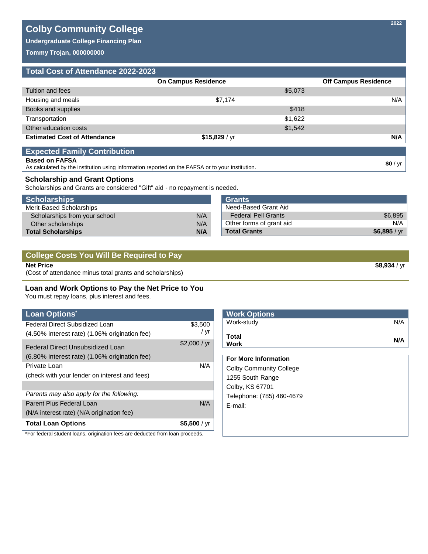# **Colby Community College**

**Undergraduate College Financing Plan**

**Tommy Trojan, 000000000**

# **Total Cost of Attendance 2022-2023**

|                                     | <b>On Campus Residence</b> |         | <b>Off Campus Residence</b> |
|-------------------------------------|----------------------------|---------|-----------------------------|
| Tuition and fees                    |                            | \$5,073 |                             |
| Housing and meals                   | \$7,174                    |         | N/A                         |
| Books and supplies                  |                            | \$418   |                             |
| Transportation                      |                            | \$1,622 |                             |
| Other education costs               |                            | \$1,542 |                             |
| <b>Estimated Cost of Attendance</b> | \$15,829 / yr              |         | N/A                         |
| <b>Expected Family Contribution</b> |                            |         |                             |
| <b>Based on FAFSA</b>               |                            |         | $dn / \ldots$               |

As calculated by the institution using information reported on the FAFSA or to your institution. **\$0** / yr

# **Scholarship and Grant Options**

Scholarships and Grants are considered "Gift" aid - no repayment is needed.

| <b>Scholarships</b>                  | <b>Grants</b>            |              |
|--------------------------------------|--------------------------|--------------|
| Merit-Based Scholarships             | Need-Based Grant Aid     |              |
| N/A<br>Scholarships from your school | Federal Pell Grants      | \$6,895      |
| N/A<br>Other scholarships            | Other forms of grant aid | N/A          |
| N/A<br><b>Total Scholarships</b>     | <b>Total Grants</b>      | \$6,895 / yr |

| College Costs You Will Be Required to Pay                |                     |
|----------------------------------------------------------|---------------------|
| Net Price                                                | <b>\$8.934</b> / vr |
| (Cost of attendance minus total grants and scholarships) |                     |

# **Loan and Work Options to Pay the Net Price to You**

You must repay loans, plus interest and fees.

| <b>Loan Options</b> *                                                         |              | <b>Work Options</b>            |
|-------------------------------------------------------------------------------|--------------|--------------------------------|
| Federal Direct Subsidized Loan                                                | \$3,500      | N/A<br>Work-study              |
| (4.50% interest rate) (1.06% origination fee)                                 | / yr         | Total                          |
| Federal Direct Unsubsidized Loan                                              | \$2,000 / yr | N/A<br>Work                    |
| (6.80% interest rate) (1.06% origination fee)                                 |              | <b>For More Information</b>    |
| Private Loan                                                                  | N/A          | <b>Colby Community College</b> |
| (check with your lender on interest and fees)                                 |              | 1255 South Range               |
|                                                                               |              | Colby, KS 67701                |
| Parents may also apply for the following:                                     |              | Telephone: (785) 460-4679      |
| Parent Plus Federal Loan                                                      | N/A          | E-mail:                        |
| (N/A interest rate) (N/A origination fee)                                     |              |                                |
| <b>Total Loan Options</b>                                                     | \$5,500 / yr |                                |
| *For federal student loans, origination fees are deducted from loan proceeds. |              |                                |

**2022**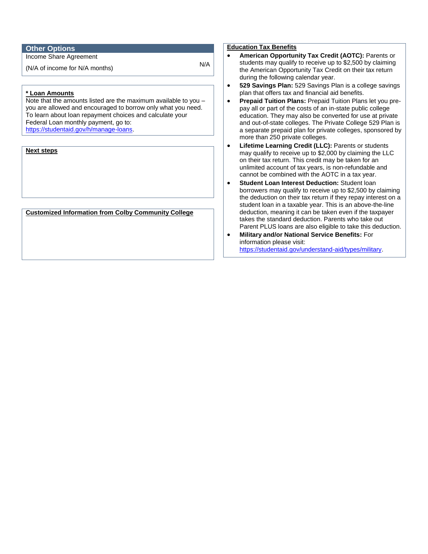# **Other Options**

Income Share Agreement

 $(N/A)$  of income for N/A months)  $N/A$ 

## **\* Loan Amounts**

Note that the amounts listed are the maximum available to you – you are allowed and encouraged to borrow only what you need. To learn about loan repayment choices and calculate your Federal Loan monthly payment, go to: [https://studentaid.gov/h/manage-loans.](https://studentaid.gov/h/manage-loans)

## **Next steps**

**Customized Information from Colby Community College**

### **Education Tax Benefits**

- **American Opportunity Tax Credit (AOTC):** Parents or students may qualify to receive up to \$2,500 by claiming the American Opportunity Tax Credit on their tax return during the following calendar year.
- **529 Savings Plan:** 529 Savings Plan is a college savings plan that offers tax and financial aid benefits.
- **Prepaid Tuition Plans:** Prepaid Tuition Plans let you prepay all or part of the costs of an in-state public college education. They may also be converted for use at private and out-of-state colleges. The Private College 529 Plan is a separate prepaid plan for private colleges, sponsored by more than 250 private colleges.
- **Lifetime Learning Credit (LLC):** Parents or students may qualify to receive up to \$2,000 by claiming the LLC on their tax return. This credit may be taken for an unlimited account of tax years, is non-refundable and cannot be combined with the AOTC in a tax year.
- **Student Loan Interest Deduction:** Student loan borrowers may qualify to receive up to \$2,500 by claiming the deduction on their tax return if they repay interest on a student loan in a taxable year. This is an above-the-line deduction, meaning it can be taken even if the taxpayer takes the standard deduction. Parents who take out Parent PLUS loans are also eligible to take this deduction.
- **Military and/or National Service Benefits:** For information please visit: [https://studentaid.gov/understand-aid/types/military.](https://studentaid.gov/understand-aid/types/military)